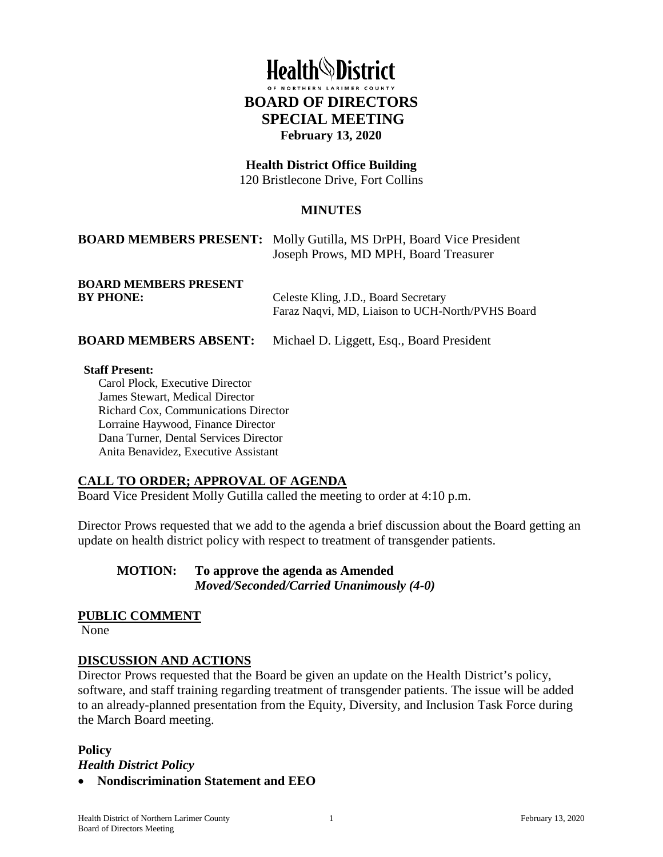# **Health**<sup>\</sup>District **BOARD OF DIRECTORS SPECIAL MEETING February 13, 2020**

# **Health District Office Building**

120 Bristlecone Drive, Fort Collins

#### **MINUTES**

## **BOARD MEMBERS PRESENT:** Molly Gutilla, MS DrPH, Board Vice President Joseph Prows, MD MPH, Board Treasurer

**BOARD MEMBERS PRESENT** 

**BY PHONE:** Celeste Kling, J.D., Board Secretary Faraz Naqvi, MD, Liaison to UCH-North/PVHS Board

**BOARD MEMBERS ABSENT:** Michael D. Liggett, Esq., Board President

#### **Staff Present:**

Carol Plock, Executive Director James Stewart, Medical Director Richard Cox, Communications Director Lorraine Haywood, Finance Director Dana Turner, Dental Services Director Anita Benavidez, Executive Assistant

#### **CALL TO ORDER; APPROVAL OF AGENDA**

Board Vice President Molly Gutilla called the meeting to order at 4:10 p.m.

Director Prows requested that we add to the agenda a brief discussion about the Board getting an update on health district policy with respect to treatment of transgender patients.

**MOTION: To approve the agenda as Amended** *Moved/Seconded/Carried Unanimously (4-0)* 

#### **PUBLIC COMMENT**

None

#### **DISCUSSION AND ACTIONS**

Director Prows requested that the Board be given an update on the Health District's policy, software, and staff training regarding treatment of transgender patients. The issue will be added to an already-planned presentation from the Equity, Diversity, and Inclusion Task Force during the March Board meeting.

#### **Policy**

*Health District Policy*

• **Nondiscrimination Statement and EEO**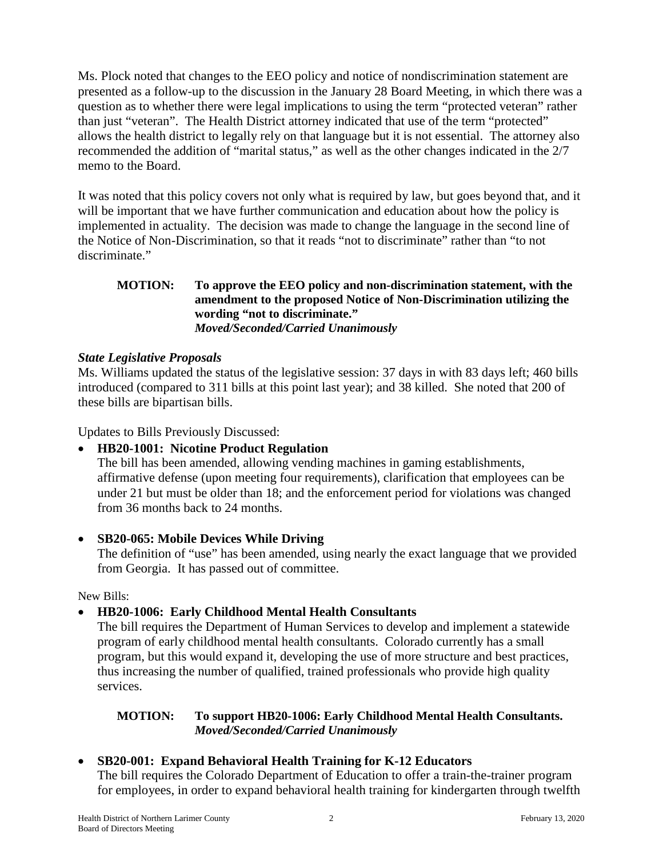Ms. Plock noted that changes to the EEO policy and notice of nondiscrimination statement are presented as a follow-up to the discussion in the January 28 Board Meeting, in which there was a question as to whether there were legal implications to using the term "protected veteran" rather than just "veteran". The Health District attorney indicated that use of the term "protected" allows the health district to legally rely on that language but it is not essential. The attorney also recommended the addition of "marital status," as well as the other changes indicated in the 2/7 memo to the Board.

It was noted that this policy covers not only what is required by law, but goes beyond that, and it will be important that we have further communication and education about how the policy is implemented in actuality. The decision was made to change the language in the second line of the Notice of Non-Discrimination, so that it reads "not to discriminate" rather than "to not discriminate."

## **MOTION: To approve the EEO policy and non-discrimination statement, with the amendment to the proposed Notice of Non-Discrimination utilizing the wording "not to discriminate."**  *Moved/Seconded/Carried Unanimously*

# *State Legislative Proposals*

Ms. Williams updated the status of the legislative session: 37 days in with 83 days left; 460 bills introduced (compared to 311 bills at this point last year); and 38 killed. She noted that 200 of these bills are bipartisan bills.

Updates to Bills Previously Discussed:

# • **HB20-1001: Nicotine Product Regulation**

The bill has been amended, allowing vending machines in gaming establishments, affirmative defense (upon meeting four requirements), clarification that employees can be under 21 but must be older than 18; and the enforcement period for violations was changed from 36 months back to 24 months.

# • **SB20-065: Mobile Devices While Driving**

The definition of "use" has been amended, using nearly the exact language that we provided from Georgia. It has passed out of committee.

New Bills:

# • **HB20-1006: Early Childhood Mental Health Consultants**

The bill requires the Department of Human Services to develop and implement a statewide program of early childhood mental health consultants. Colorado currently has a small program, but this would expand it, developing the use of more structure and best practices, thus increasing the number of qualified, trained professionals who provide high quality services.

## **MOTION: To support HB20-1006: Early Childhood Mental Health Consultants.**  *Moved/Seconded/Carried Unanimously*

# • **SB20-001: Expand Behavioral Health Training for K-12 Educators**

The bill requires the Colorado Department of Education to offer a train-the-trainer program for employees, in order to expand behavioral health training for kindergarten through twelfth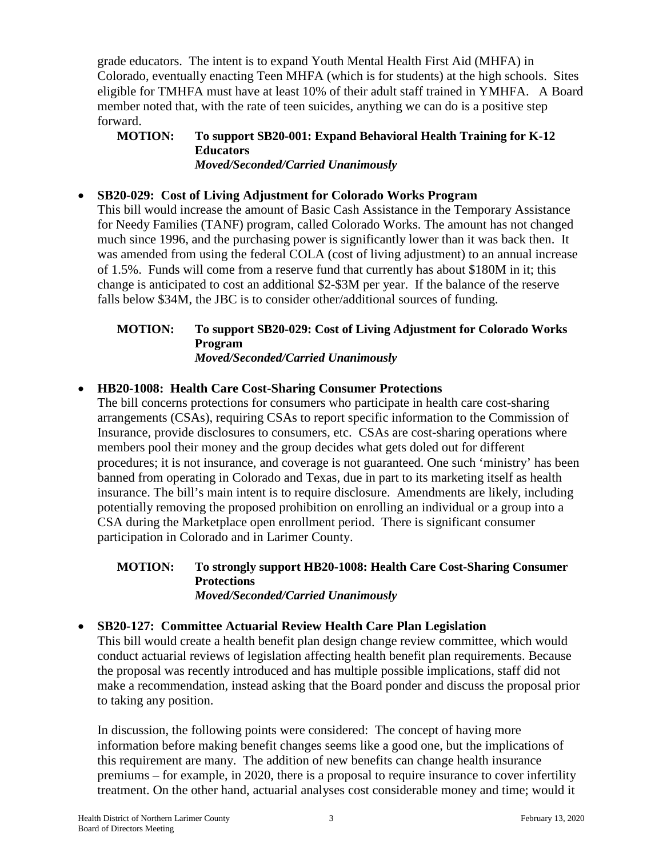grade educators. The intent is to expand Youth Mental Health First Aid (MHFA) in Colorado, eventually enacting Teen MHFA (which is for students) at the high schools. Sites eligible for TMHFA must have at least 10% of their adult staff trained in YMHFA. A Board member noted that, with the rate of teen suicides, anything we can do is a positive step forward.

#### **MOTION: To support SB20-001: Expand Behavioral Health Training for K-12 Educators**  *Moved/Seconded/Carried Unanimously*

## • **SB20-029: Cost of Living Adjustment for Colorado Works Program**

This bill would increase the amount of Basic Cash Assistance in the Temporary Assistance for Needy Families (TANF) program, called Colorado Works. The amount has not changed much since 1996, and the purchasing power is significantly lower than it was back then. It was amended from using the federal COLA (cost of living adjustment) to an annual increase of 1.5%. Funds will come from a reserve fund that currently has about \$180M in it; this change is anticipated to cost an additional \$2-\$3M per year. If the balance of the reserve falls below \$34M, the JBC is to consider other/additional sources of funding.

#### **MOTION: To support SB20-029: Cost of Living Adjustment for Colorado Works Program** *Moved/Seconded/Carried Unanimously*

#### • **HB20-1008: Health Care Cost-Sharing Consumer Protections**

The bill concerns protections for consumers who participate in health care cost-sharing arrangements (CSAs), requiring CSAs to report specific information to the Commission of Insurance, provide disclosures to consumers, etc. CSAs are cost-sharing operations where members pool their money and the group decides what gets doled out for different procedures; it is not insurance, and coverage is not guaranteed. One such 'ministry' has been banned from operating in Colorado and Texas, due in part to its marketing itself as health insurance. The bill's main intent is to require disclosure. Amendments are likely, including potentially removing the proposed prohibition on enrolling an individual or a group into a CSA during the Marketplace open enrollment period. There is significant consumer participation in Colorado and in Larimer County.

#### **MOTION: To strongly support HB20-1008: Health Care Cost-Sharing Consumer Protections** *Moved/Seconded/Carried Unanimously*

#### • **SB20-127: Committee Actuarial Review Health Care Plan Legislation**

This bill would create a health benefit plan design change review committee, which would conduct actuarial reviews of legislation affecting health benefit plan requirements. Because the proposal was recently introduced and has multiple possible implications, staff did not make a recommendation, instead asking that the Board ponder and discuss the proposal prior to taking any position.

In discussion, the following points were considered: The concept of having more information before making benefit changes seems like a good one, but the implications of this requirement are many. The addition of new benefits can change health insurance premiums – for example, in 2020, there is a proposal to require insurance to cover infertility treatment. On the other hand, actuarial analyses cost considerable money and time; would it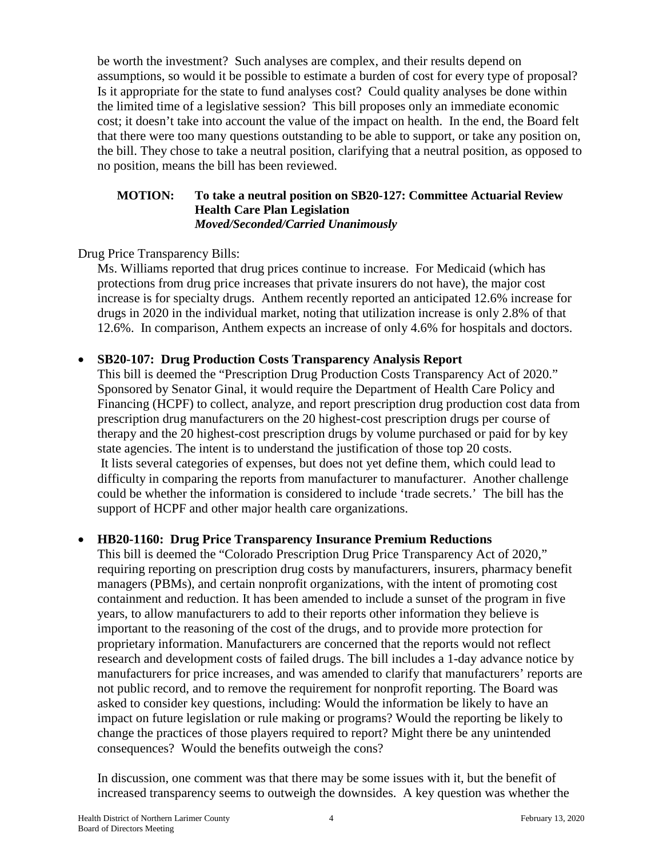be worth the investment? Such analyses are complex, and their results depend on assumptions, so would it be possible to estimate a burden of cost for every type of proposal? Is it appropriate for the state to fund analyses cost? Could quality analyses be done within the limited time of a legislative session? This bill proposes only an immediate economic cost; it doesn't take into account the value of the impact on health. In the end, the Board felt that there were too many questions outstanding to be able to support, or take any position on, the bill. They chose to take a neutral position, clarifying that a neutral position, as opposed to no position, means the bill has been reviewed.

#### **MOTION: To take a neutral position on SB20-127: Committee Actuarial Review Health Care Plan Legislation** *Moved/Seconded/Carried Unanimously*

Drug Price Transparency Bills:

Ms. Williams reported that drug prices continue to increase. For Medicaid (which has protections from drug price increases that private insurers do not have), the major cost increase is for specialty drugs. Anthem recently reported an anticipated 12.6% increase for drugs in 2020 in the individual market, noting that utilization increase is only 2.8% of that 12.6%. In comparison, Anthem expects an increase of only 4.6% for hospitals and doctors.

## • **SB20-107: Drug Production Costs Transparency Analysis Report**

This bill is deemed the "Prescription Drug Production Costs Transparency Act of 2020." Sponsored by Senator Ginal, it would require the Department of Health Care Policy and Financing (HCPF) to collect, analyze, and report prescription drug production cost data from prescription drug manufacturers on the 20 highest-cost prescription drugs per course of therapy and the 20 highest-cost prescription drugs by volume purchased or paid for by key state agencies. The intent is to understand the justification of those top 20 costs. It lists several categories of expenses, but does not yet define them, which could lead to difficulty in comparing the reports from manufacturer to manufacturer. Another challenge could be whether the information is considered to include 'trade secrets.' The bill has the support of HCPF and other major health care organizations.

# • **HB20-1160: Drug Price Transparency Insurance Premium Reductions**

This bill is deemed the "Colorado Prescription Drug Price Transparency Act of 2020," requiring reporting on prescription drug costs by manufacturers, insurers, pharmacy benefit managers (PBMs), and certain nonprofit organizations, with the intent of promoting cost containment and reduction. It has been amended to include a sunset of the program in five years, to allow manufacturers to add to their reports other information they believe is important to the reasoning of the cost of the drugs, and to provide more protection for proprietary information. Manufacturers are concerned that the reports would not reflect research and development costs of failed drugs. The bill includes a 1-day advance notice by manufacturers for price increases, and was amended to clarify that manufacturers' reports are not public record, and to remove the requirement for nonprofit reporting. The Board was asked to consider key questions, including: Would the information be likely to have an impact on future legislation or rule making or programs? Would the reporting be likely to change the practices of those players required to report? Might there be any unintended consequences? Would the benefits outweigh the cons?

In discussion, one comment was that there may be some issues with it, but the benefit of increased transparency seems to outweigh the downsides. A key question was whether the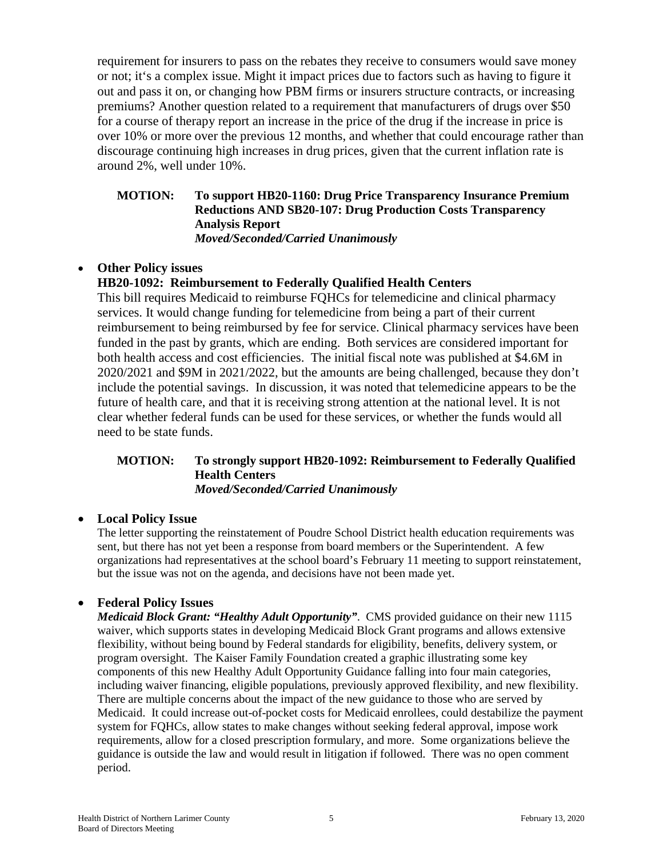requirement for insurers to pass on the rebates they receive to consumers would save money or not; it's a complex issue. Might it impact prices due to factors such as having to figure it out and pass it on, or changing how PBM firms or insurers structure contracts, or increasing premiums? Another question related to a requirement that manufacturers of drugs over \$50 for a course of therapy report an increase in the price of the drug if the increase in price is over 10% or more over the previous 12 months, and whether that could encourage rather than discourage continuing high increases in drug prices, given that the current inflation rate is around 2%, well under 10%.

# **MOTION: To support HB20-1160: Drug Price Transparency Insurance Premium Reductions AND SB20-107: Drug Production Costs Transparency Analysis Report**

*Moved/Seconded/Carried Unanimously*

## • **Other Policy issues**

## **HB20-1092: Reimbursement to Federally Qualified Health Centers**

This bill requires Medicaid to reimburse FQHCs for telemedicine and clinical pharmacy services. It would change funding for telemedicine from being a part of their current reimbursement to being reimbursed by fee for service. Clinical pharmacy services have been funded in the past by grants, which are ending. Both services are considered important for both health access and cost efficiencies. The initial fiscal note was published at \$4.6M in 2020/2021 and \$9M in 2021/2022, but the amounts are being challenged, because they don't include the potential savings. In discussion, it was noted that telemedicine appears to be the future of health care, and that it is receiving strong attention at the national level. It is not clear whether federal funds can be used for these services, or whether the funds would all need to be state funds.

#### **MOTION: To strongly support HB20-1092: Reimbursement to Federally Qualified Health Centers** *Moved/Seconded/Carried Unanimously*

#### • **Local Policy Issue**

The letter supporting the reinstatement of Poudre School District health education requirements was sent, but there has not yet been a response from board members or the Superintendent. A few organizations had representatives at the school board's February 11 meeting to support reinstatement, but the issue was not on the agenda, and decisions have not been made yet.

#### • **Federal Policy Issues**

*Medicaid Block Grant: "Healthy Adult Opportunity"*. CMS provided guidance on their new 1115 waiver, which supports states in developing Medicaid Block Grant programs and allows extensive flexibility, without being bound by Federal standards for eligibility, benefits, delivery system, or program oversight. The Kaiser Family Foundation created a graphic illustrating some key components of this new Healthy Adult Opportunity Guidance falling into four main categories, including waiver financing, eligible populations, previously approved flexibility, and new flexibility. There are multiple concerns about the impact of the new guidance to those who are served by Medicaid. It could increase out-of-pocket costs for Medicaid enrollees, could destabilize the payment system for FQHCs, allow states to make changes without seeking federal approval, impose work requirements, allow for a closed prescription formulary, and more. Some organizations believe the guidance is outside the law and would result in litigation if followed. There was no open comment period.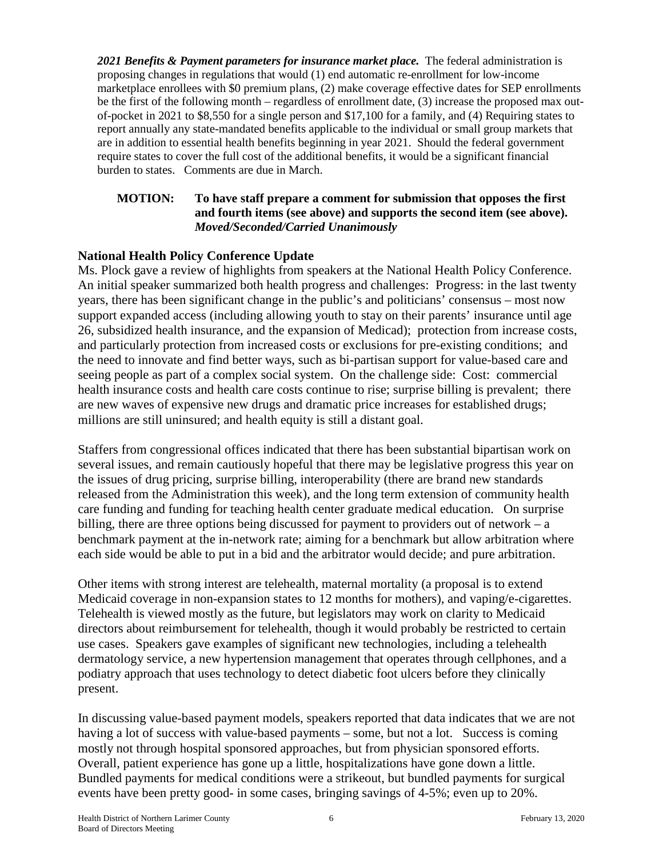*2021 Benefits & Payment parameters for insurance market place.* The federal administration is proposing changes in regulations that would (1) end automatic re-enrollment for low-income marketplace enrollees with \$0 premium plans, (2) make coverage effective dates for SEP enrollments be the first of the following month – regardless of enrollment date, (3) increase the proposed max outof-pocket in 2021 to \$8,550 for a single person and \$17,100 for a family, and (4) Requiring states to report annually any state-mandated benefits applicable to the individual or small group markets that are in addition to essential health benefits beginning in year 2021. Should the federal government require states to cover the full cost of the additional benefits, it would be a significant financial burden to states. Comments are due in March.

#### **MOTION: To have staff prepare a comment for submission that opposes the first and fourth items (see above) and supports the second item (see above).**  *Moved/Seconded/Carried Unanimously*

# **National Health Policy Conference Update**

Ms. Plock gave a review of highlights from speakers at the National Health Policy Conference. An initial speaker summarized both health progress and challenges: Progress: in the last twenty years, there has been significant change in the public's and politicians' consensus – most now support expanded access (including allowing youth to stay on their parents' insurance until age 26, subsidized health insurance, and the expansion of Medicad); protection from increase costs, and particularly protection from increased costs or exclusions for pre-existing conditions; and the need to innovate and find better ways, such as bi-partisan support for value-based care and seeing people as part of a complex social system. On the challenge side: Cost: commercial health insurance costs and health care costs continue to rise; surprise billing is prevalent; there are new waves of expensive new drugs and dramatic price increases for established drugs; millions are still uninsured; and health equity is still a distant goal.

Staffers from congressional offices indicated that there has been substantial bipartisan work on several issues, and remain cautiously hopeful that there may be legislative progress this year on the issues of drug pricing, surprise billing, interoperability (there are brand new standards released from the Administration this week), and the long term extension of community health care funding and funding for teaching health center graduate medical education. On surprise billing, there are three options being discussed for payment to providers out of network – a benchmark payment at the in-network rate; aiming for a benchmark but allow arbitration where each side would be able to put in a bid and the arbitrator would decide; and pure arbitration.

Other items with strong interest are telehealth, maternal mortality (a proposal is to extend Medicaid coverage in non-expansion states to 12 months for mothers), and vaping/e-cigarettes. Telehealth is viewed mostly as the future, but legislators may work on clarity to Medicaid directors about reimbursement for telehealth, though it would probably be restricted to certain use cases. Speakers gave examples of significant new technologies, including a telehealth dermatology service, a new hypertension management that operates through cellphones, and a podiatry approach that uses technology to detect diabetic foot ulcers before they clinically present.

In discussing value-based payment models, speakers reported that data indicates that we are not having a lot of success with value-based payments – some, but not a lot. Success is coming mostly not through hospital sponsored approaches, but from physician sponsored efforts. Overall, patient experience has gone up a little, hospitalizations have gone down a little. Bundled payments for medical conditions were a strikeout, but bundled payments for surgical events have been pretty good- in some cases, bringing savings of 4-5%; even up to 20%.